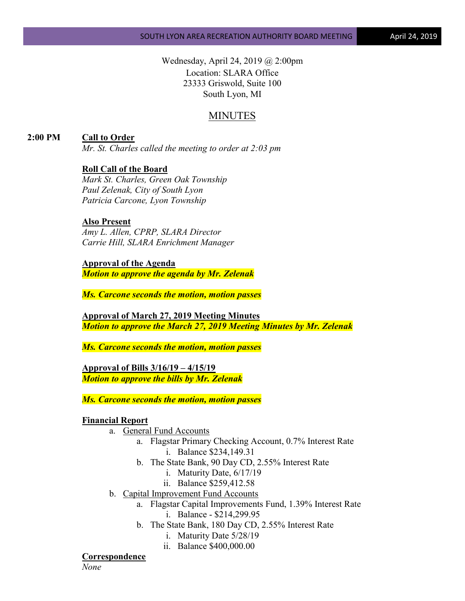Wednesday, April 24, 2019 @ 2:00pm Location: SLARA Office 23333 Griswold, Suite 100 South Lyon, MI

# MINUTES

**2:00 PM Call to Order**

*Mr. St. Charles called the meeting to order at 2:03 pm*

#### **Roll Call of the Board**

*Mark St. Charles, Green Oak Township Paul Zelenak, City of South Lyon Patricia Carcone, Lyon Township*

# **Also Present**

*Amy L. Allen, CPRP, SLARA Director Carrie Hill, SLARA Enrichment Manager*

## **Approval of the Agenda**

*Motion to approve the agenda by Mr. Zelenak*

*Ms. Carcone seconds the motion, motion passes*

**Approval of March 27, 2019 Meeting Minutes** *Motion to approve the March 27, 2019 Meeting Minutes by Mr. Zelenak*

*Ms. Carcone seconds the motion, motion passes*

**Approval of Bills 3/16/19 – 4/15/19** *Motion to approve the bills by Mr. Zelenak*

*Ms. Carcone seconds the motion, motion passes*

#### **Financial Report**

- a. General Fund Accounts
	- a. Flagstar Primary Checking Account, 0.7% Interest Rate i. Balance \$234,149.31
	- b. The State Bank, 90 Day CD, 2.55% Interest Rate
		- i. Maturity Date, 6/17/19
		- ii. Balance \$259,412.58
- b. Capital Improvement Fund Accounts
	- a. Flagstar Capital Improvements Fund, 1.39% Interest Rate i. Balance - \$214,299.95
	- b. The State Bank, 180 Day CD, 2.55% Interest Rate
		- i. Maturity Date 5/28/19
		- ii. Balance \$400,000.00

#### **Correspondence**

*None*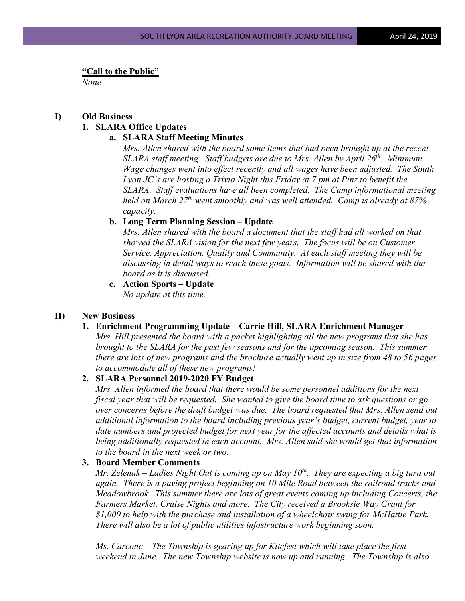**"Call to the Public"**

*None*

# **I) Old Business**

#### **1. SLARA Office Updates**

#### **a. SLARA Staff Meeting Minutes**

*Mrs. Allen shared with the board some items that had been brought up at the recent SLARA staff meeting. Staff budgets are due to Mrs. Allen by April 26<sup>th</sup>. Minimum Wage changes went into effect recently and all wages have been adjusted. The South Lyon JC's are hosting a Trivia Night this Friday at 7 pm at Pinz to benefit the SLARA. Staff evaluations have all been completed. The Camp informational meeting held on March 27th went smoothly and was well attended. Camp is already at 87% capacity.* 

## **b. Long Term Planning Session – Update**

*Mrs. Allen shared with the board a document that the staff had all worked on that showed the SLARA vision for the next few years. The focus will be on Customer Service, Appreciation, Quality and Community. At each staff meeting they will be discussing in detail ways to reach these goals. Information will be shared with the board as it is discussed.*

**c. Action Sports – Update** *No update at this time.*

#### **II) New Business**

# **1. Enrichment Programming Update – Carrie Hill, SLARA Enrichment Manager**

*Mrs. Hill presented the board with a packet highlighting all the new programs that she has brought to the SLARA for the past few seasons and for the upcoming season. This summer there are lots of new programs and the brochure actually went up in size from 48 to 56 pages to accommodate all of these new programs!*

# **2. SLARA Personnel 2019-2020 FY Budget**

*Mrs. Allen informed the board that there would be some personnel additions for the next fiscal year that will be requested. She wanted to give the board time to ask questions or go over concerns before the draft budget was due. The board requested that Mrs. Allen send out additional information to the board including previous year's budget, current budget, year to date numbers and projected budget for next year for the affected accounts and details what is being additionally requested in each account. Mrs. Allen said she would get that information to the board in the next week or two.*

#### **3. Board Member Comments**

*Mr. Zelenak – Ladies Night Out is coming up on May 10<sup>th</sup>. They are expecting a big turn out again. There is a paving project beginning on 10 Mile Road between the railroad tracks and Meadowbrook. This summer there are lots of great events coming up including Concerts, the Farmers Market, Cruise Nights and more. The City received a Brooksie Way Grant for \$1,000 to help with the purchase and installation of a wheelchair swing for McHattie Park. There will also be a lot of public utilities infostructure work beginning soon.*

*Ms. Carcone – The Township is gearing up for Kitefest which will take place the first weekend in June. The new Township website is now up and running. The Township is also*